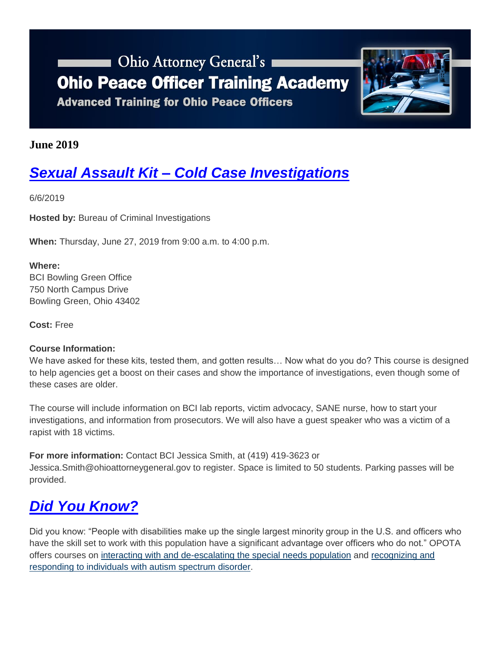## **Chio Attorney General's Ohio Peace Officer Training Academy Advanced Training for Ohio Peace Officers**



### **June 2019**

# *Sexual Assault Kit – [Cold Case Investigations](https://www.ohioattorneygeneral.gov/Media/Newsletters/Ohio-Peace-Officer-Training-Academy-email-newslett/June-2019/Sexual-Assault-Kit-%E2%80%93-Cold-Case-Investigations)*

6/6/2019

**Hosted by:** Bureau of Criminal Investigations

**When:** Thursday, June 27, 2019 from 9:00 a.m. to 4:00 p.m.

#### **Where:**

BCI Bowling Green Office 750 North Campus Drive Bowling Green, Ohio 43402

**Cost:** Free

#### **Course Information:**

We have asked for these kits, tested them, and gotten results... Now what do you do? This course is designed to help agencies get a boost on their cases and show the importance of investigations, even though some of these cases are older.

The course will include information on BCI lab reports, victim advocacy, SANE nurse, how to start your investigations, and information from prosecutors. We will also have a guest speaker who was a victim of a rapist with 18 victims.

**For more information:** Contact BCI Jessica Smith, at (419) 419-3623 or Jessica.Smith@ohioattorneygeneral.gov to register. Space is limited to 50 students. Parking passes will be provided.

### *[Did You Know?](https://www.ohioattorneygeneral.gov/Media/Newsletters/Ohio-Peace-Officer-Training-Academy-email-newslett/June-2019/Did-You-Know)*

Did you know: "People with disabilities make up the single largest minority group in the U.S. and officers who have the skill set to work with this population have a significant advantage over officers who do not." OPOTA offers courses on [interacting with and de-escalating the special needs population](https://www.ohioattorneygeneral.gov/Law-Enforcement/Ohio-Peace-Officer-Training-Academy/Course-Catalog/Course-Categories/Human-Relations-Courses#OPOTA485) and [recognizing and](https://www.ohioattorneygeneral.gov/Law-Enforcement/Ohio-Peace-Officer-Training-Academy/Course-Catalog/Course-Categories/Human-Relations-Courses#OPOTA1082)  [responding to individuals with autism spectrum disorder.](https://www.ohioattorneygeneral.gov/Law-Enforcement/Ohio-Peace-Officer-Training-Academy/Course-Catalog/Course-Categories/Human-Relations-Courses#OPOTA1082)